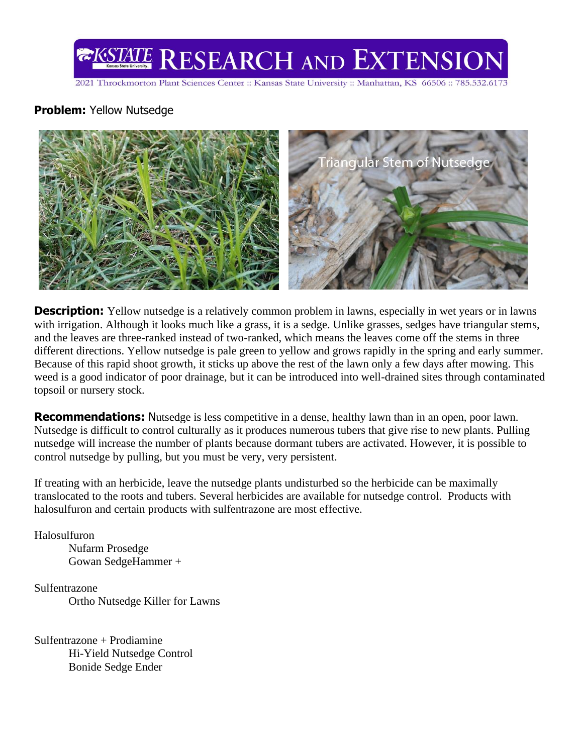

2021 Throckmorton Plant Sciences Center :: Kansas State University :: Manhattan, KS 66506 :: 785.532.6173

## **Problem:** Yellow Nutsedge



**Description:** Yellow nutsedge is a relatively common problem in lawns, especially in wet years or in lawns with irrigation. Although it looks much like a grass, it is a sedge. Unlike grasses, sedges have triangular stems, and the leaves are three-ranked instead of two-ranked, which means the leaves come off the stems in three different directions. Yellow nutsedge is pale green to yellow and grows rapidly in the spring and early summer. Because of this rapid shoot growth, it sticks up above the rest of the lawn only a few days after mowing. This weed is a good indicator of poor drainage, but it can be introduced into well-drained sites through contaminated topsoil or nursery stock.

**Recommendations:** Nutsedge is less competitive in a dense, healthy lawn than in an open, poor lawn. Nutsedge is difficult to control culturally as it produces numerous tubers that give rise to new plants. Pulling nutsedge will increase the number of plants because dormant tubers are activated. However, it is possible to control nutsedge by pulling, but you must be very, very persistent.

If treating with an herbicide, leave the nutsedge plants undisturbed so the herbicide can be maximally translocated to the roots and tubers. Several herbicides are available for nutsedge control. Products with halosulfuron and certain products with sulfentrazone are most effective.

Halosulfuron

Nufarm Prosedge Gowan SedgeHammer +

Sulfentrazone

Ortho Nutsedge Killer for Lawns

Sulfentrazone + Prodiamine Hi-Yield Nutsedge Control Bonide Sedge Ender